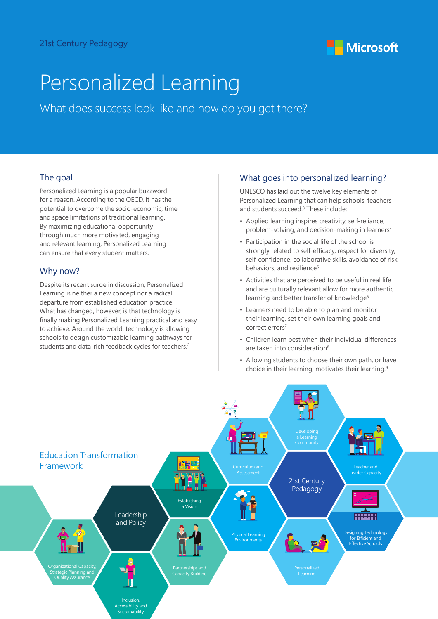

# Personalized Learning

What does success look like and how do you get there?

## The goal

Personalized Learning is a popular buzzword for a reason. According to the OECD, it has the potential to overcome the socio-economic, time and space limitations of traditional learning.<sup>1</sup> By maximizing educational opportunity through much more motivated, engaging and relevant learning, Personalized Learning can ensure that every student matters.

## Why now?

Despite its recent surge in discussion, Personalized Learning is neither a new concept nor a radical departure from established education practice. What has changed, however, is that technology is finally making Personalized Learning practical and easy to achieve. Around the world, technology is allowing schools to design customizable learning pathways for students and data-rich feedback cycles for teachers.<sup>2</sup>

## What goes into personalized learning?

UNESCO has laid out the twelve key elements of Personalized Learning that can help schools, teachers and students succeed.3 These include:

- Applied learning inspires creativity, self-reliance, problem-solving, and decision-making in learners4
- Participation in the social life of the school is strongly related to self-efficacy, respect for diversity, self-confidence, collaborative skills, avoidance of risk behaviors, and resilience<sup>5</sup>
- Activities that are perceived to be useful in real life and are culturally relevant allow for more authentic learning and better transfer of knowledge<sup>6</sup>
- Learners need to be able to plan and monitor their learning, set their own learning goals and correct errors7
- Children learn best when their individual differences are taken into consideration<sup>8</sup>
- Allowing students to choose their own path, or have choice in their learning, motivates their learning.<sup>9</sup>